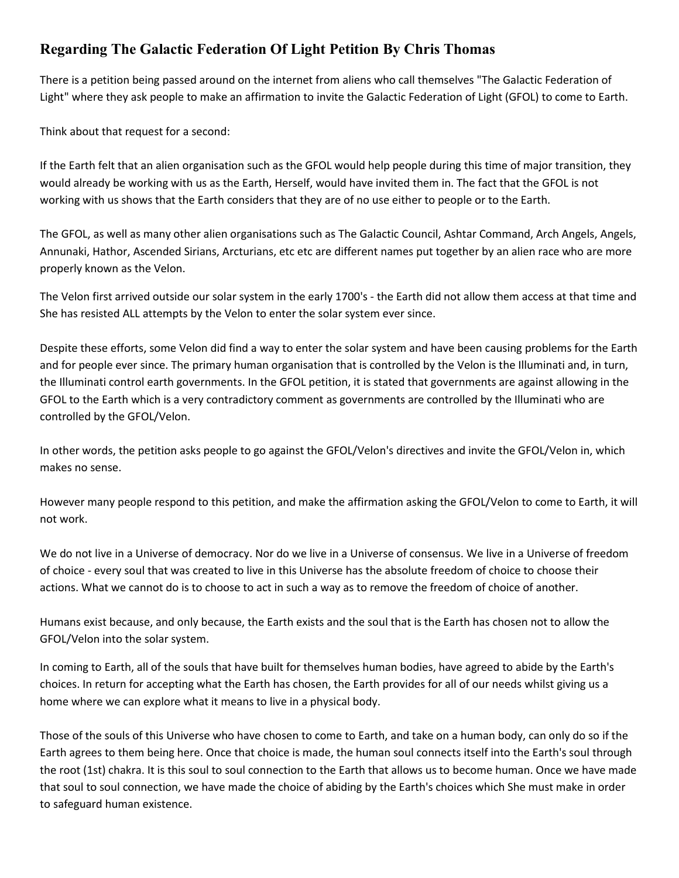## **Regarding The Galactic Federation Of Light Petition By Chris Thomas**

There is a petition being passed around on the internet from aliens who call themselves "The Galactic Federation of Light" where they ask people to make an affirmation to invite the Galactic Federation of Light (GFOL) to come to Earth.

Think about that request for a second:

If the Earth felt that an alien organisation such as the GFOL would help people during this time of major transition, they would already be working with us as the Earth, Herself, would have invited them in. The fact that the GFOL is not working with us shows that the Earth considers that they are of no use either to people or to the Earth.

The GFOL, as well as many other alien organisations such as The Galactic Council, Ashtar Command, Arch Angels, Angels, Annunaki, Hathor, Ascended Sirians, Arcturians, etc etc are different names put together by an alien race who are more properly known as the Velon.

The Velon first arrived outside our solar system in the early 1700's - the Earth did not allow them access at that time and She has resisted ALL attempts by the Velon to enter the solar system ever since.

Despite these efforts, some Velon did find a way to enter the solar system and have been causing problems for the Earth and for people ever since. The primary human organisation that is controlled by the Velon is the Illuminati and, in turn, the Illuminati control earth governments. In the GFOL petition, it is stated that governments are against allowing in the GFOL to the Earth which is a very contradictory comment as governments are controlled by the Illuminati who are controlled by the GFOL/Velon.

In other words, the petition asks people to go against the GFOL/Velon's directives and invite the GFOL/Velon in, which makes no sense.

However many people respond to this petition, and make the affirmation asking the GFOL/Velon to come to Earth, it will not work.

We do not live in a Universe of democracy. Nor do we live in a Universe of consensus. We live in a Universe of freedom of choice - every soul that was created to live in this Universe has the absolute freedom of choice to choose their actions. What we cannot do is to choose to act in such a way as to remove the freedom of choice of another.

Humans exist because, and only because, the Earth exists and the soul that is the Earth has chosen not to allow the GFOL/Velon into the solar system.

In coming to Earth, all of the souls that have built for themselves human bodies, have agreed to abide by the Earth's choices. In return for accepting what the Earth has chosen, the Earth provides for all of our needs whilst giving us a home where we can explore what it means to live in a physical body.

Those of the souls of this Universe who have chosen to come to Earth, and take on a human body, can only do so if the Earth agrees to them being here. Once that choice is made, the human soul connects itself into the Earth's soul through the root (1st) chakra. It is this soul to soul connection to the Earth that allows us to become human. Once we have made that soul to soul connection, we have made the choice of abiding by the Earth's choices which She must make in order to safeguard human existence.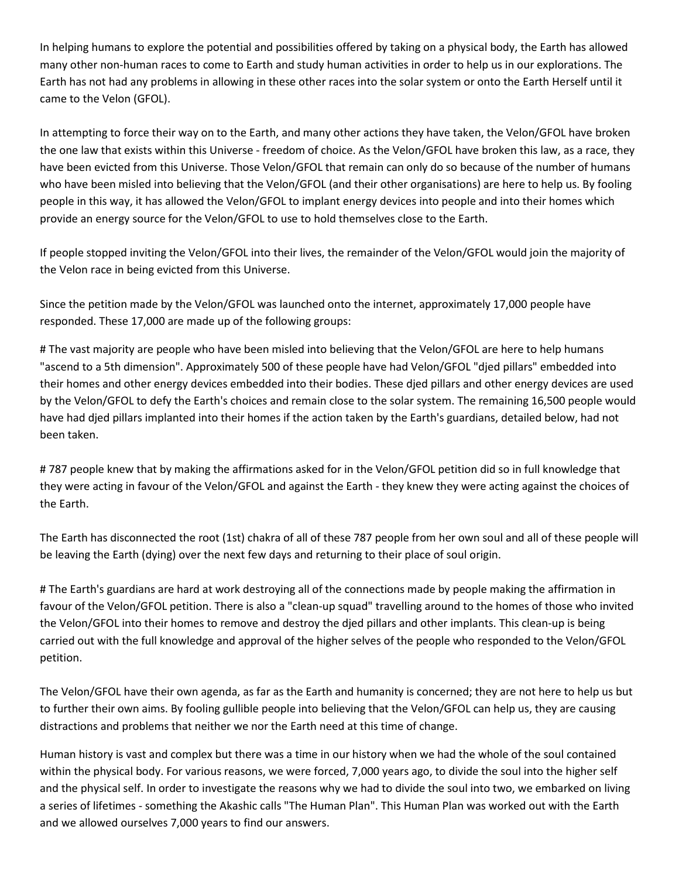In helping humans to explore the potential and possibilities offered by taking on a physical body, the Earth has allowed many other non-human races to come to Earth and study human activities in order to help us in our explorations. The Earth has not had any problems in allowing in these other races into the solar system or onto the Earth Herself until it came to the Velon (GFOL).

In attempting to force their way on to the Earth, and many other actions they have taken, the Velon/GFOL have broken the one law that exists within this Universe - freedom of choice. As the Velon/GFOL have broken this law, as a race, they have been evicted from this Universe. Those Velon/GFOL that remain can only do so because of the number of humans who have been misled into believing that the Velon/GFOL (and their other organisations) are here to help us. By fooling people in this way, it has allowed the Velon/GFOL to implant energy devices into people and into their homes which provide an energy source for the Velon/GFOL to use to hold themselves close to the Earth.

If people stopped inviting the Velon/GFOL into their lives, the remainder of the Velon/GFOL would join the majority of the Velon race in being evicted from this Universe.

Since the petition made by the Velon/GFOL was launched onto the internet, approximately 17,000 people have responded. These 17,000 are made up of the following groups:

# The vast majority are people who have been misled into believing that the Velon/GFOL are here to help humans "ascend to a 5th dimension". Approximately 500 of these people have had Velon/GFOL "djed pillars" embedded into their homes and other energy devices embedded into their bodies. These djed pillars and other energy devices are used by the Velon/GFOL to defy the Earth's choices and remain close to the solar system. The remaining 16,500 people would have had djed pillars implanted into their homes if the action taken by the Earth's guardians, detailed below, had not been taken.

# 787 people knew that by making the affirmations asked for in the Velon/GFOL petition did so in full knowledge that they were acting in favour of the Velon/GFOL and against the Earth - they knew they were acting against the choices of the Earth.

The Earth has disconnected the root (1st) chakra of all of these 787 people from her own soul and all of these people will be leaving the Earth (dying) over the next few days and returning to their place of soul origin.

# The Earth's guardians are hard at work destroying all of the connections made by people making the affirmation in favour of the Velon/GFOL petition. There is also a "clean-up squad" travelling around to the homes of those who invited the Velon/GFOL into their homes to remove and destroy the djed pillars and other implants. This clean-up is being carried out with the full knowledge and approval of the higher selves of the people who responded to the Velon/GFOL petition.

The Velon/GFOL have their own agenda, as far as the Earth and humanity is concerned; they are not here to help us but to further their own aims. By fooling gullible people into believing that the Velon/GFOL can help us, they are causing distractions and problems that neither we nor the Earth need at this time of change.

Human history is vast and complex but there was a time in our history when we had the whole of the soul contained within the physical body. For various reasons, we were forced, 7,000 years ago, to divide the soul into the higher self and the physical self. In order to investigate the reasons why we had to divide the soul into two, we embarked on living a series of lifetimes - something the Akashic calls "The Human Plan". This Human Plan was worked out with the Earth and we allowed ourselves 7,000 years to find our answers.